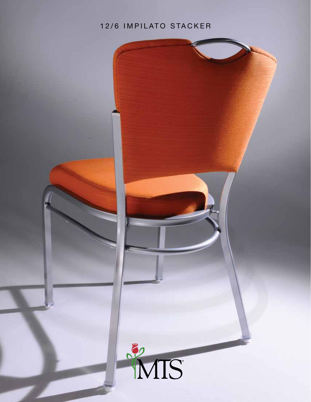### 12/6 IMPILATO STACKER

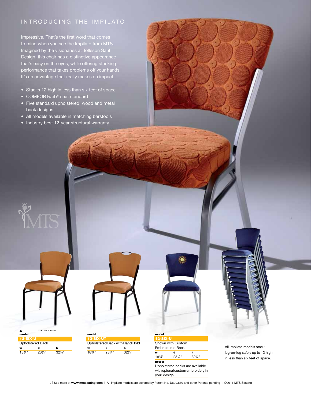### INTRODUCING THE IMPILATO

Impressive. That's the first word that comes to mind when you see the Impilato from MTS. Imagined by the visionaries at Tolleson Saul Design, this chair has a distinctive appearance that's easy on the eyes, while offering stacking performance that takes problems off your hands. It's an advantage that really makes an impact.

- Stacks 12 high in less than six feet of space
- COMFORTweb<sup>®</sup> seat standard
- Five standard upholstered, wood and metal back designs
- All models available in matching barstools
- Industry best 12-year structural warranty

|          | FFATURED AROVE    |                   |  |
|----------|-------------------|-------------------|--|
| model    |                   |                   |  |
| 12-SIX-U |                   |                   |  |
|          | Upholstered Back  |                   |  |
| w        | d                 | h                 |  |
| $18\%$ " | $23\frac{1}{4}$ " | $32\frac{1}{4}$ " |  |

e<br>MTS



| model             |  |
|-------------------|--|
| TESP.             |  |
| Shown with Custom |  |

Embroidered Back w d h 18¾" 23¼" 32¼"

notes: Upholstered backs are available with opional custom embroidery in your design.

All Impilato models stack leg-on-leg safely up to 12 high in less than six feet of space.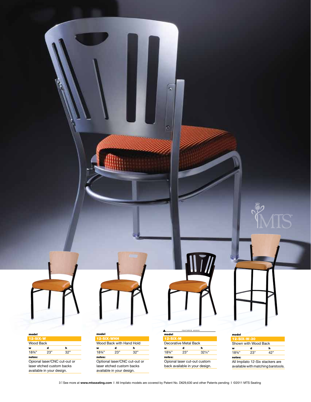

| model       |                      |     |  |
|-------------|----------------------|-----|--|
| 12-SIX-W-30 |                      |     |  |
|             | Shown with Wood Back |     |  |
| w           | d                    | h   |  |
| 18%"        | 23"                  | 42" |  |
| notes:      |                      |     |  |

All Impilato 12-Six stackers are available with matching barstools.



| <b>12-SIX-W</b>   |     |     |
|-------------------|-----|-----|
| Wood Back         |     |     |
| w                 | d   | h   |
| $18\frac{3}{4}$ " | 23" | 32" |
| notes:            |     |     |

Opional laser/CNC cut-out or laser etched custom backs available in your design.

#### model Wood Back with Hand Hold  $\frac{w}{1834}$  d h<br> $\frac{h}{32}$ 18<sup>3</sup>/<sub>4</sub>"

notes: Optional laser/CNC cut-out or laser etched custom backs available in your design.

#### F E A T U R E D A B O V E  $A$  model

œ

F

| mooen      |                       |                                |
|------------|-----------------------|--------------------------------|
| $12-SIX-M$ |                       |                                |
|            | Decorative Metal Back |                                |
| w          | d                     | h                              |
| 18%"       | 23"                   | $32\frac{1}{4}$                |
| notes:     |                       |                                |
|            |                       | Opional laser cut-out custom   |
|            |                       | back available in your design. |